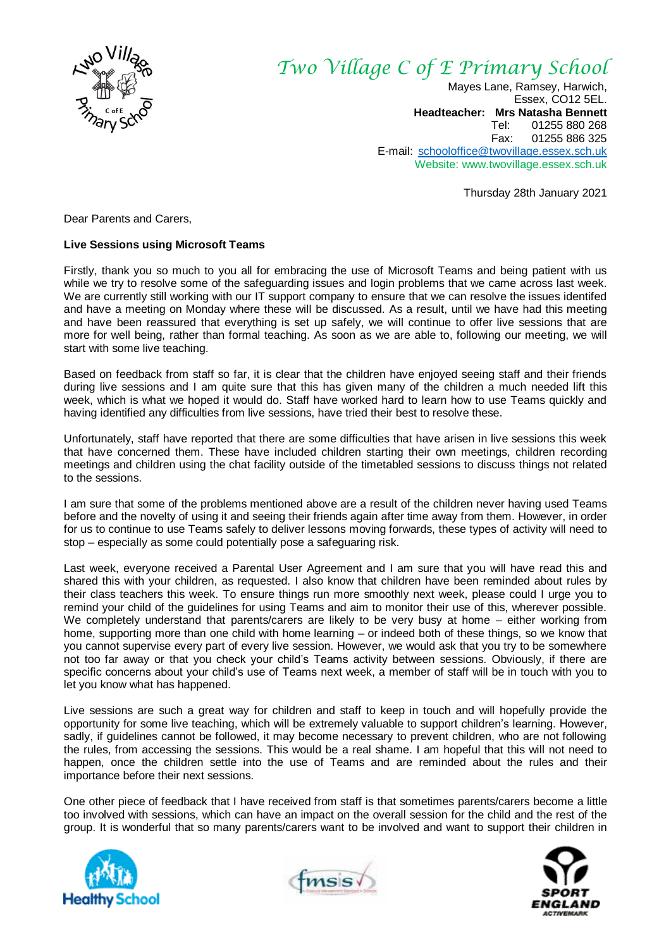

## *Two Village C of E Primary School*

Mayes Lane, Ramsey, Harwich, Essex, CO12 5EL. **Headteacher: Mrs Natasha Bennett** Tel: 01255 880 268 Fax: 01255 886 325 E-mail: [schooloffice@twovillage.essex.sch.uk](mailto:schooloffice@twovillage.essex.sch.uk) Website: www.twovillage.essex.sch.uk

Thursday 28th January 2021

Dear Parents and Carers,

## **Live Sessions using Microsoft Teams**

Firstly, thank you so much to you all for embracing the use of Microsoft Teams and being patient with us while we try to resolve some of the safeguarding issues and login problems that we came across last week. We are currently still working with our IT support company to ensure that we can resolve the issues identifed and have a meeting on Monday where these will be discussed. As a result, until we have had this meeting and have been reassured that everything is set up safely, we will continue to offer live sessions that are more for well being, rather than formal teaching. As soon as we are able to, following our meeting, we will start with some live teaching.

Based on feedback from staff so far, it is clear that the children have enjoyed seeing staff and their friends during live sessions and I am quite sure that this has given many of the children a much needed lift this week, which is what we hoped it would do. Staff have worked hard to learn how to use Teams quickly and having identified any difficulties from live sessions, have tried their best to resolve these.

Unfortunately, staff have reported that there are some difficulties that have arisen in live sessions this week that have concerned them. These have included children starting their own meetings, children recording meetings and children using the chat facility outside of the timetabled sessions to discuss things not related to the sessions.

I am sure that some of the problems mentioned above are a result of the children never having used Teams before and the novelty of using it and seeing their friends again after time away from them. However, in order for us to continue to use Teams safely to deliver lessons moving forwards, these types of activity will need to stop – especially as some could potentially pose a safeguaring risk.

Last week, everyone received a Parental User Agreement and I am sure that you will have read this and shared this with your children, as requested. I also know that children have been reminded about rules by their class teachers this week. To ensure things run more smoothly next week, please could I urge you to remind your child of the guidelines for using Teams and aim to monitor their use of this, wherever possible. We completely understand that parents/carers are likely to be very busy at home – either working from home, supporting more than one child with home learning – or indeed both of these things, so we know that you cannot supervise every part of every live session. However, we would ask that you try to be somewhere not too far away or that you check your child's Teams activity between sessions. Obviously, if there are specific concerns about your child's use of Teams next week, a member of staff will be in touch with you to let you know what has happened.

Live sessions are such a great way for children and staff to keep in touch and will hopefully provide the opportunity for some live teaching, which will be extremely valuable to support children's learning. However, sadly, if guidelines cannot be followed, it may become necessary to prevent children, who are not following the rules, from accessing the sessions. This would be a real shame. I am hopeful that this will not need to happen, once the children settle into the use of Teams and are reminded about the rules and their importance before their next sessions.

One other piece of feedback that I have received from staff is that sometimes parents/carers become a little too involved with sessions, which can have an impact on the overall session for the child and the rest of the group. It is wonderful that so many parents/carers want to be involved and want to support their children in